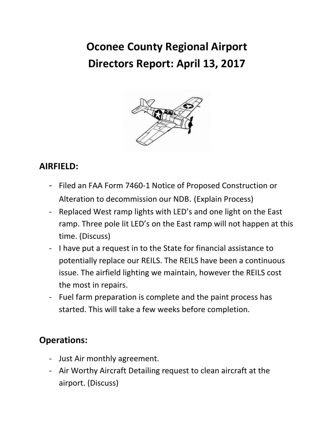# **Oconee County Regional Airport Directors Report: April 13, 2017**



### **AIRFIELD:**

- Filed an FAA Form 7460-1 Notice of Proposed Construction or Alteration to decommission our NDB. (Explain Process)
- Replaced West ramp lights with LED's and one light on the East ramp. Three pole lit LED's on the East ramp will not happen at this time. (Discuss)
- I have put a request in to the State for financial assistance to potentially replace our REILS. The REILS have been a continuous issue. The airfield lighting we maintain, however the REILS cost the most in repairs.
- Fuel farm preparation is complete and the paint process has started. This will take a few weeks before completion.

### **Operations:**

- Just Air monthly agreement.
- Air Worthy Aircraft Detailing request to clean aircraft at the airport. (Discuss)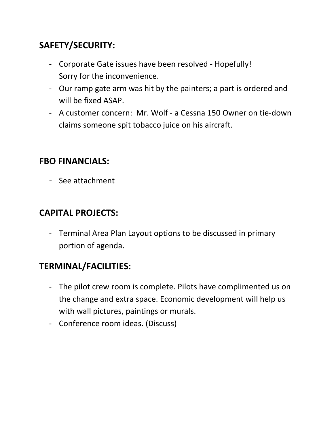# **SAFETY/SECURITY:**

- Corporate Gate issues have been resolved Hopefully! Sorry for the inconvenience.
- Our ramp gate arm was hit by the painters; a part is ordered and will be fixed ASAP.
- A customer concern: Mr. Wolf a Cessna 150 Owner on tie-down claims someone spit tobacco juice on his aircraft.

#### **FBO FINANCIALS:**

- See attachment

## **CAPITAL PROJECTS:**

- Terminal Area Plan Layout options to be discussed in primary portion of agenda.

### **TERMINAL/FACILITIES:**

- The pilot crew room is complete. Pilots have complimented us on the change and extra space. Economic development will help us with wall pictures, paintings or murals.
- Conference room ideas. (Discuss)